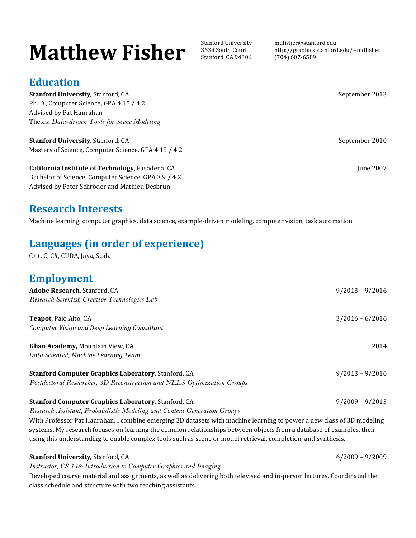# **Matthew Fisher** Stanford University

3634 South Court Stanford, CA 94306 mdfisher@stanford.edu http://graphics.stanford.edu/~mdfisher (704) 607-6589

### **Education**

**Stanford University**, Stanford, CA September 2013 Ph. D., Computer Science, GPA 4.15 / 4.2 Advised by Pat Hanrahan Thesis: *Data-driven Tools for Scene Modeling*

**Stanford University**, Stanford, CA September 2010 Masters of Science, Computer Science, GPA 4.15 / 4.2

**California Institute of Technology**, Pasadena, CA **June 2007** June 2007 Bachelor of Science, Computer Science, GPA 3.9 / 4.2 Advised by Peter Schröder and Mathieu Desbrun

### **Research Interests**

Machine learning, computer graphics, data science, example-driven modeling, computer vision, task automation

## **Languages (in order of experience)**

C++, C, C#, CUDA, Java, Scala

### **Employment**

| Adobe Research, Stanford, CA                                                                                                                                                                                                                 | $9/2013 - 9/2016$ |
|----------------------------------------------------------------------------------------------------------------------------------------------------------------------------------------------------------------------------------------------|-------------------|
| Research Scientist, Creative Technologies Lab                                                                                                                                                                                                |                   |
| <b>Teapot, Palo Alto, CA</b>                                                                                                                                                                                                                 | $3/2016 - 6/2016$ |
| Computer Vision and Deep Learning Consultant                                                                                                                                                                                                 |                   |
| Khan Academy, Mountain View, CA                                                                                                                                                                                                              | 2014              |
| Data Scientist, Machine Learning Team                                                                                                                                                                                                        |                   |
| Stanford Computer Graphics Laboratory, Stanford, CA                                                                                                                                                                                          | $9/2013 - 9/2016$ |
| Postdoctoral Researcher, 3D Reconstruction and NLLS Optimization Groups                                                                                                                                                                      |                   |
| <b>Stanford Computer Graphics Laboratory, Stanford, CA</b>                                                                                                                                                                                   | $9/2009 - 9/2013$ |
| Research Assistant, Probabilistic Modeling and Content Generation Groups                                                                                                                                                                     |                   |
| With Professor Pat Hanrahan, I combine emerging 3D datasets with machine learning to power a new class of 3D modeling<br>systems. My research focuses on learning the common relationships between objects from a database of examples, then |                   |
| using this understanding to enable complex tools such as scene or model retrieval, completion, and synthesis.                                                                                                                                |                   |

#### **Stanford University**, Stanford, CA 6/2009 – 9/2009

*Instructor, CS 148: Introduction to Computer Graphics and Imaging*

Developed course material and assignments, as well as delivering both televised and in-person lectures. Coordinated the class schedule and structure with two teaching assistants.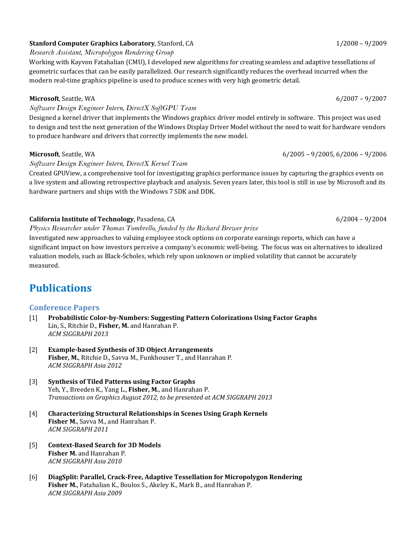### **Stanford Computer Graphics Laboratory**, Stanford, CA 1/2008 – 9/2009 – 9/2009

*Research Assistant, Micropolygon Rendering Group*

Working with Kayvon Fatahalian (CMU), I developed new algorithms for creating seamless and adaptive tessellations of geometric surfaces that can be easily parallelized. Our research significantly reduces the overhead incurred when the modern real-time graphics pipeline is used to produce scenes with very high geometric detail.

#### **Microsoft**, Seattle, WA 6/2007 – 9/2007

*Software Design Engineer Intern, DirectX SoftGPU Team*

Designed a kernel driver that implements the Windows graphics driver model entirely in software. This project was used to design and test the next generation of the Windows Display Driver Model without the need to wait for hardware vendors to produce hardware and drivers that correctly implements the new model.

#### **Microsoft**, Seattle, WA 6/2005 – 9/2005, 6/2006 – 9/2006 – 9/2006 – 9/2006 – 9/2006 – 9/2006 – 9/2006 – 9/2006 – 9/2006 – 9/2006 – 9/2006 – 9/2006 – 9/2005 – 9/2006 – 9/2006 – 9/2006 – 9/2006 – 9/2006 – 9/2007 – 9/2007 –

#### *Software Design Engineer Intern, DirectX Kernel Team*

Created GPUView, a comprehensive tool for investigating graphics performance issues by capturing the graphics events on a live system and allowing retrospective playback and analysis. Seven years later, this tool is still in use by Microsoft and its hardware partners and ships with the Windows 7 SDK and DDK.

#### **California Institute of Technology**, Pasadena, CA 6/2004 – 6/2004 – 6/2004 – 6/2004

*Physics Researcher under Thomas Tombrello, funded by the Richard Brewer prize*

Investigated new approaches to valuing employee stock options on corporate earnings reports, which can have a significant impact on how investors perceive a company's economic well-being. The focus was on alternatives to idealized valuation models, such as Black-Scholes, which rely upon unknown or implied volatility that cannot be accurately measured.

### **Publications**

### **Conference Papers**

- [1] **Probabilistic Color-by-Numbers: Suggesting Pattern Colorizations Using Factor Graphs** Lin, S., Ritchie D., **Fisher, M.** and Hanrahan P. *ACM SIGGRAPH 2013*
- [2] **Example-based Synthesis of 3D Object Arrangements Fisher, M.**, Ritchie D., Savva M., Funkhouser T., and Hanrahan P. *ACM SIGGRAPH Asia 2012*
- [3] **Synthesis of Tiled Patterns using Factor Graphs** Yeh, Y., Breeden K., Yang L., **Fisher, M.**, and Hanrahan P. *Transactions on Graphics August 2012, to be presented at ACM SIGGRAPH 2013*
- [4] **Characterizing Structural Relationships in Scenes Using Graph Kernels Fisher M.**, Savva M., and Hanrahan P. *ACM SIGGRAPH 2011*
- [5] **Context-Based Search for 3D Models Fisher M.** and Hanrahan P. *ACM SIGGRAPH Asia 2010*
- [6] **DiagSplit: Parallel, Crack-Free, Adaptive Tessellation for Micropolygon Rendering Fisher M.**, Fatahalian K., Boulos S., Akeley K., Mark B., and Hanrahan P. *ACM SIGGRAPH Asia 2009*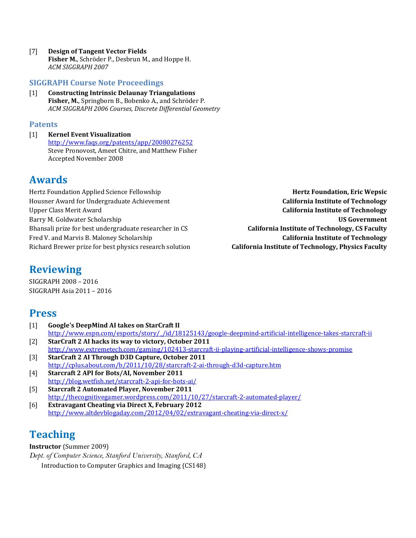[7] **Design of Tangent Vector Fields Fisher M.**, Schröder P., Desbrun M., and Hoppe H. *ACM SIGGRAPH 2007*

#### **SIGGRAPH Course Note Proceedings**

[1] **Constructing Intrinsic Delaunay Triangulations Fisher, M.**, Springborn B., Bobenko A., and Schröder P. *ACM SIGGRAPH 2006 Courses, Discrete Differential Geometry*

#### **Patents**

[1] **Kernel Event Visualization** <http://www.faqs.org/patents/app/20080276252> Steve Pronovost, Ameet Chitre, and Matthew Fisher Accepted November 2008

### **Awards**

Hertz Foundation Applied Science Fellowship<br>Hertz **Foundation, Eric Wepsic**<br>**Housner Award for Undergraduate Achievement** Housner Award for Undergraduate Achievement<br>Upper Class Merit Award Barry M. Goldwater Scholarship **US Government** Bhansali prize for best undergraduate researcher in CS Fred V. and Marvis B. Maloney Scholarship<br>Richard Brewer prize for best physics research solution<br>**California Institute of Technology, Physics Faculty** Richard Brewer prize for best physics research solution

**California Institute of Technology** 

### **Reviewing**

SIGGRAPH 2008 – 2016 SIGGRAPH Asia 2011 – 2016

### **Press**

- [1] **Google's DeepMind AI takes on StarCraft II** http://www.espn.com/esports/story//id/18125143/google-deepmind-artificial-intelligence-takes-starcraft-ii
- [2] **StarCraft 2 AI hacks its way to victory, October 2011** <http://www.extremetech.com/gaming/102413-starcraft-ii-playing-artificial-intelligence-shows-promise>
- [3] **StarCraft 2 AI Through D3D Capture, October 2011** <http://cplus.about.com/b/2011/10/28/starcraft-2-ai-through-d3d-capture.htm>
- [4] **Starcraft 2 API for Bots/AI, November 2011** <http://blog.wetfish.net/starcraft-2-api-for-bots-ai/>
- [5] **Starcraft 2 Automated Player, November 2011** <http://thecognitivegamer.wordpress.com/2011/10/27/starcraft-2-automated-player/>
- [6] **Extravagant Cheating via Direct X, February 2012** <http://www.altdevblogaday.com/2012/04/02/extravagant-cheating-via-direct-x/>

### **Teaching**

#### **Instructor** (Summer 2009)

*Dept. of Computer Science, Stanford University, Stanford, CA* Introduction to Computer Graphics and Imaging (CS148)